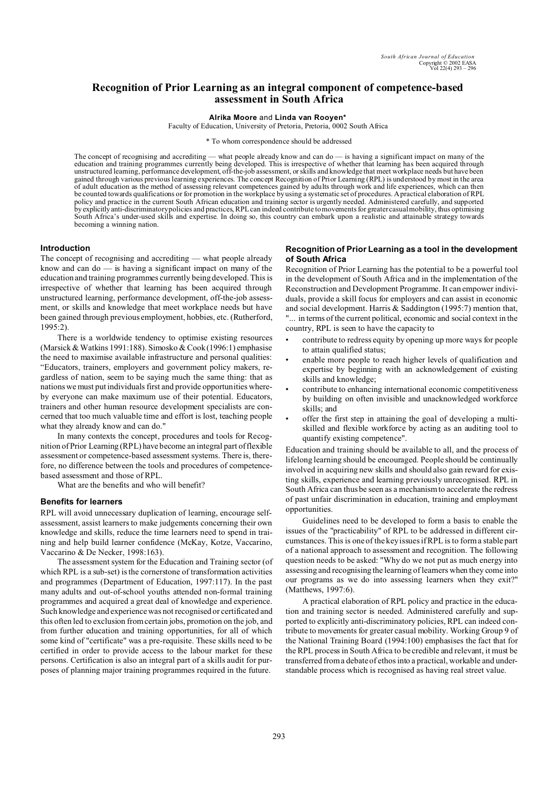# **Recognition of Prior Learning as an integral component of competence-based assessment in South Africa**

**Alrika Moore** and **Linda van Rooyen\***

Faculty of Education, University of Pretoria, Pretoria, 0002 South Africa

\* To whom correspondence should be addressed

The concept of recognising and accrediting — what people already know and can do — is having a significant impact on many of the education and training programmes currently being developed. This is irrespective of whether that learning has been acquired through unstructured learning, performance development, off-the-job assessment, or skills and knowledge that meet workplace needs but have been gained through various previous learning experiences. The concept Recognition of Prior Learning (RPL) is understood by most in the area of adult education as the method of assessing relevant competences gained by adults through work and life experiences, which can then be counted towards qualifications or for promotion in the workplace by using a systematic set of procedures. A practical elaboration of RPL policy and practice in the current South African education and training sector is urgently needed. Administered carefully, and supported by explicitly anti-discriminatory policies and practices, RPL can indeed contribute to movements for greater casual mobility, thus optimising South Africa's under-used skills and expertise. In doing so, this country can embark upon a realistic and attainable strategy towards becoming a winning nation.

#### **Introduction**

The concept of recognising and accrediting — what people already know and can do — is having a significant impact on many of the education and training programmes currently being developed. This is irrespective of whether that learning has been acquired through unstructured learning, performance development, off-the-job assessment, or skills and knowledge that meet workplace needs but have been gained through previous employment, hobbies, etc. (Rutherford, 1995:2).

There is a worldwide tendency to optimise existing resources (Marsick & Watkins 1991:188). Simosko & Cook(1996:1) emphasise the need to maximise available infrastructure and personal qualities: "Educators, trainers, employers and government policy makers, regardless of nation, seem to be saying much the same thing: that as nations we must put individuals first and provide opportunities whereby everyone can make maximum use of their potential. Educators, trainers and other human resource development specialists are concerned that too much valuable time and effort is lost, teaching people what they already know and can do."

In many contexts the concept, procedures and tools for Recognition of Prior Learning (RPL) have become an integral part of flexible assessment or competence-based assessment systems. There is, therefore, no difference between the tools and procedures of competencebased assessment and those of RPL.

What are the benefits and who will benefit?

#### **Benefits for learners**

RPL will avoid unnecessary duplication of learning, encourage selfassessment, assist learners to make judgements concerning their own knowledge and skills, reduce the time learners need to spend in training and help build learner confidence (McKay, Kotze, Vaccarino, Vaccarino & De Necker, 1998:163).

The assessment system for the Education and Training sector (of which RPL is a sub-set) is the cornerstone of transformation activities and programmes (Department of Education, 1997:117). In the past many adults and out-of-school youths attended non-formal training programmes and acquired a great deal of knowledge and experience. Such knowledge and experience was not recognised or certificated and this often led to exclusion from certain jobs, promotion on the job, and from further education and training opportunities, for all of which some kind of "certificate" was a pre-requisite. These skills need to be certified in order to provide access to the labour market for these persons. Certification is also an integral part of a skills audit for purposes of planning major training programmes required in the future.

## **Recognition of Prior Learning as a tool in the development of South Africa**

Recognition of Prior Learning has the potential to be a powerful tool in the development of South Africa and in the implementation of the Reconstruction and Development Programme. It can empower individuals, provide a skill focus for employers and can assist in economic and social development. Harris & Saddington (1995:7) mention that, "... in terms of the current political, economic and social context in the country, RPL is seen to have the capacity to

- contribute to redress equity by opening up more ways for people to attain qualified status;
- enable more people to reach higher levels of qualification and expertise by beginning with an acknowledgement of existing skills and knowledge;
- contribute to enhancing international economic competitiveness by building on often invisible and unacknowledged workforce skills; and
- offer the first step in attaining the goal of developing a multiskilled and flexible workforce by acting as an auditing tool to quantify existing competence".

Education and training should be available to all, and the process of lifelong learning should be encouraged. People should be continually involved in acquiring new skills and should also gain reward for existing skills, experience and learning previously unrecognised. RPL in South Africa can thus be seen as a mechanism to accelerate the redress of past unfair discrimination in education, training and employment opportunities.

Guidelines need to be developed to form a basis to enable the issues of the "practicability" of RPL to be addressed in different circumstances. This is one of the key issues if RPL is to form a stable part of a national approach to assessment and recognition. The following question needs to be asked: "Why do we not put as much energy into assessing and recognising the learning of learners when they come into our programs as we do into assessing learners when they exit?" (Matthews, 1997:6).

A practical elaboration of RPL policy and practice in the education and training sector is needed. Administered carefully and supported to explicitly anti-discriminatory policies, RPL can indeed contribute to movements for greater casual mobility. Working Group 9 of the National Training Board (1994:100) emphasises the fact that for the RPL process in South Africa to be credible and relevant, it must be transferred from a debate of ethos into a practical, workable and understandable process which is recognised as having real street value.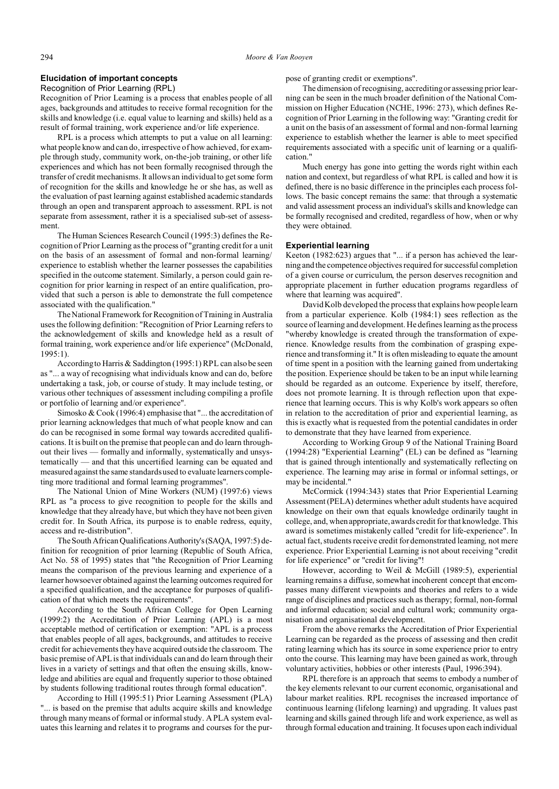## **Elucidation of important concepts**

Recognition of Prior Learning (RPL)

Recognition of Prior Learning is a process that enables people of all ages, backgrounds and attitudes to receive formal recognition for the skills and knowledge (i.e. equal value to learning and skills) held as a result of formal training, work experience and/or life experience.

RPL is a process which attempts to put a value on all learning: what people know and can do, irrespective of how achieved, for example through study, community work, on-the-job training, or other life experiences and which has not been formally recognised through the transfer of credit mechanisms. It allows an individual to get some form of recognition for the skills and knowledge he or she has, as well as the evaluation of past learning against established academic standards through an open and transparent approach to assessment. RPL is not separate from assessment, rather it is a specialised sub-set of assessment.

The Human Sciences Research Council (1995:3) defines the Recognition of Prior Learning as the process of "granting credit for a unit on the basis of an assessment of formal and non-formal learning/ experience to establish whether the learner possesses the capabilities specified in the outcome statement. Similarly, a person could gain recognition for prior learning in respect of an entire qualification, provided that such a person is able to demonstrate the full competence associated with the qualification."

The National Framework for Recognition of Training in Australia uses the following definition: "Recognition of Prior Learning refers to the acknowledgement of skills and knowledge held as a result of formal training, work experience and/or life experience" (McDonald, 1995:1).

According to Harris & Saddington (1995:1) RPL can also be seen as "... a way of recognising what individuals know and can do, before undertaking a task, job, or course of study. It may include testing, or various other techniques of assessment including compiling a profile or portfolio of learning and/or experience".

Simosko & Cook (1996:4) emphasise that "... the accreditation of prior learning acknowledges that much of what people know and can do can be recognised in some formal way towards accredited qualifications. It is built on the premise that people can and do learn throughout their lives — formally and informally, systematically and unsystematically — and that this uncertified learning can be equated and measured against the same standards used to evaluate learners completing more traditional and formal learning programmes".

The National Union of Mine Workers (NUM) (1997:6) views RPL as "a process to give recognition to people for the skills and knowledge that they already have, but which they have not been given credit for. In South Africa, its purpose is to enable redress, equity, access and re-distribution".

The South African QualificationsAuthority's(SAQA, 1997:5) definition for recognition of prior learning (Republic of South Africa, Act No. 58 of 1995) states that "the Recognition of Prior Learning means the comparison of the previous learning and experience of a learner howsoever obtained against the learning outcomes required for a specified qualification, and the acceptance for purposes of qualification of that which meets the requirements".

According to the South African College for Open Learning (1999:2) the Accreditation of Prior Learning (APL) is a most acceptable method of certification or exemption: "APL is a process that enables people of all ages, backgrounds, and attitudes to receive credit for achievements they have acquired outside the classroom. The basic premise of APL is that individuals can and do learn through their lives in a variety of settings and that often the ensuing skills, knowledge and abilities are equal and frequently superior to those obtained by students following traditional routes through formal education".

According to Hill (1995:51) Prior Learning Assessment (PLA) "... is based on the premise that adults acquire skills and knowledge through many means of formal or informal study. A PLA system evaluates this learning and relates it to programs and courses for the purpose of granting credit or exemptions".

The dimension of recognising, accrediting or assessing prior learning can be seen in the much broader definition of the National Commission on Higher Education (NCHE, 1996: 273), which defines Recognition of Prior Learning in the following way: "Granting credit for a unit on the basis of an assessment of formal and non-formal learning experience to establish whether the learner is able to meet specified requirements associated with a specific unit of learning or a qualification."

Much energy has gone into getting the words right within each nation and context, but regardless of what RPL is called and how it is defined, there is no basic difference in the principles each process follows. The basic concept remains the same: that through a systematic and valid assessment process an individual's skills and knowledge can be formally recognised and credited, regardless of how, when or why they were obtained.

### **Experiential learning**

Keeton (1982:623) argues that "... if a person has achieved the learning and the competence objectives required for successful completion of a given course or curriculum, the person deserves recognition and appropriate placement in further education programs regardless of where that learning was acquired".

David Kolb developed the process that explains how people learn from a particular experience. Kolb (1984:1) sees reflection as the source of learning and development. He defines learning as the process "whereby knowledge is created through the transformation of experience. Knowledge results from the combination of grasping experience and transforming it." It is often misleading to equate the amount of time spent in a position with the learning gained from undertaking the position. Experience should be taken to be an input while learning should be regarded as an outcome. Experience by itself, therefore, does not promote learning. It is through reflection upon that experience that learning occurs. This is why Kolb's work appears so often in relation to the accreditation of prior and experiential learning, as this is exactly what is requested from the potential candidates in order to demonstrate that they have learned from experience.

According to Working Group 9 of the National Training Board (1994:28) "Experiential Learning" (EL) can be defined as "learning that is gained through intentionally and systematically reflecting on experience. The learning may arise in formal or informal settings, or may be incidental."

McCormick (1994:343) states that Prior Experiential Learning Assessment (PELA) determines whether adult students have acquired knowledge on their own that equals knowledge ordinarily taught in college, and, when appropriate, awards credit for that knowledge. This award is sometimes mistakenly called "credit for life-experience". In actual fact, students receive credit for demonstrated learning*,* not mere experience. Prior Experiential Learning is not about receiving "credit for life experience" or "credit for living"!

However, according to Weil & McGill (1989:5), experiential learning remains a diffuse, somewhat incoherent concept that encompasses many different viewpoints and theories and refers to a wide range of disciplines and practices such as therapy; formal, non-formal and informal education; social and cultural work; community organisation and organisational development.

From the above remarks the Accreditation of Prior Experiential Learning can be regarded as the process of assessing and then credit rating learning which has its source in some experience prior to entry onto the course. This learning may have been gained as work, through voluntary activities, hobbies or other interests (Paul, 1996:394).

RPL therefore is an approach that seems to embody a number of the key elements relevant to our current economic, organisational and labour market realities. RPL recognises the increased importance of continuous learning (lifelong learning) and upgrading. It values past learning and skills gained through life and work experience, as well as through formal education and training. It focuses upon each individual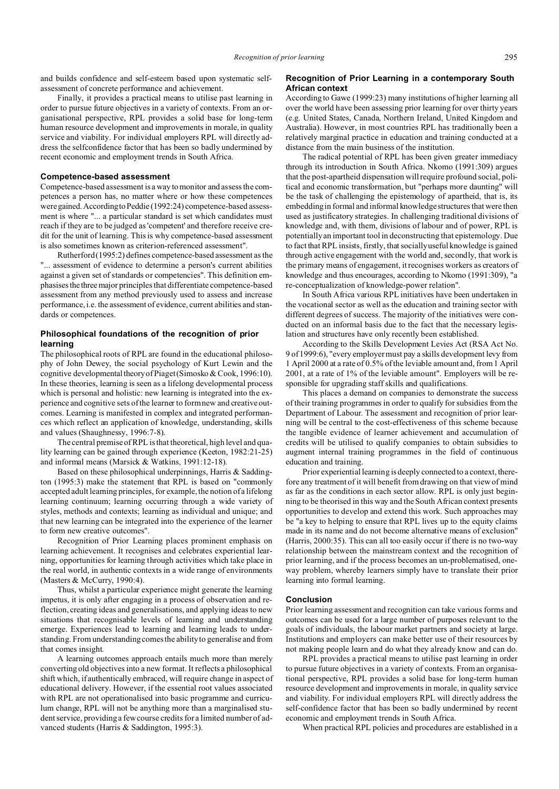and builds confidence and self-esteem based upon systematic selfassessment of concrete performance and achievement.

Finally, it provides a practical means to utilise past learning in order to pursue future objectives in a variety of contexts. From an organisational perspective, RPL provides a solid base for long-term human resource development and improvements in morale, in quality service and viability. For individual employers RPL will directly address the selfconfidence factor that has been so badly undermined by recent economic and employment trends in South Africa.

#### **Competence-based assessment**

Competence-based assessment is a way to monitor and assess the competences a person has, no matter where or how these competences were gained. According to Peddie (1992:24) competence-based assessment is where "... a particular standard is set which candidates must reach if they are to be judged as 'competent' and therefore receive credit for the unit of learning. This is why competence-based assessment is also sometimes known as criterion-referenced assessment".

Rutherford (1995:2) defines competence-based assessment as the "... assessment of evidence to determine a person's current abilities against a given set of standards or competencies". This definition emphasisesthe threemajor principles that differentiate competence-based assessment from any method previously used to assess and increase performance, i.e. the assessment of evidence, current abilities and standards or competences.

# **Philosophical foundations of the recognition of prior learning**

The philosophical roots of RPL are found in the educational philosophy of John Dewey, the social psychology of Kurt Lewin and the cognitive developmental theory of Piaget (Simosko & Cook, 1996:10). In these theories, learning is seen as a lifelong developmental process which is personal and holistic: new learning is integrated into the experience and cognitive sets of the learner to form new and creative outcomes. Learning is manifested in complex and integrated performances which reflect an application of knowledge, understanding, skills and values (Shaughnessy, 1996:7-8).

The central premise of RPL is that theoretical, high level and quality learning can be gained through experience (Keeton, 1982:21-25) and informal means (Marsick & Watkins, 1991:12-18).

Based on these philosophical underpinnings, Harris & Saddington (1995:3) make the statement that RPL is based on "commonly accepted adult learning principles, for example, the notion of a lifelong learning continuum; learning occurring through a wide variety of styles, methods and contexts; learning as individual and unique; and that new learning can be integrated into the experience of the learner to form new creative outcomes".

Recognition of Prior Learning places prominent emphasis on learning achievement. It recognises and celebrates experiential learning, opportunities for learning through activities which take place in the real world, in authentic contexts in a wide range of environments (Masters & McCurry, 1990:4).

Thus, whilst a particular experience might generate the learning impetus, it is only after engaging in a process of observation and reflection, creating ideas and generalisations, and applying ideas to new situations that recognisable levels of learning and understanding emerge. Experiences lead to learning and learning leads to understanding. From understanding comes the ability to generalise and from that comes insight.

A learning outcomes approach entails much more than merely converting old objectives into a new format. It reflects a philosophical shift which, if authentically embraced, will require change in aspect of educational delivery. However, if the essential root values associated with RPL are not operationalised into basic programme and curriculum change, RPL will not be anything more than a marginalised student service, providing a few course credits for a limited number of advanced students (Harris & Saddington, 1995:3).

### **Recognition of Prior Learning in a contemporary South African context**

According to Gawe (1999:23) many institutions of higher learning all over the world have been assessing prior learning for over thirty years (e.g. United States, Canada, Northern Ireland, United Kingdom and Australia). However, in most countries RPL has traditionally been a relatively marginal practice in education and training conducted at a distance from the main business of the institution.

The radical potential of RPL has been given greater immediacy through its introduction in South Africa. Nkomo (1991:309) argues that the post-apartheid dispensation will require profound social, political and economic transformation, but "perhaps more daunting" will be the task of challenging the epistemology of apartheid, that is, its embedding in formal and informal knowledge structures that were then used as justificatory strategies. In challenging traditional divisions of knowledge and, with them, divisions of labour and of power, RPL is potentially an important tool in deconstructing that epistemology. Due to fact that RPL insists, firstly, that socially useful knowledge is gained through active engagement with the world and, secondly, that work is the primary means of engagement, it recognises workers as creators of knowledge and thus encourages, according to Nkomo (1991:309), "a re-conceptualization of knowledge-power relation".

In South Africa various RPL initiatives have been undertaken in the vocational sector as well as the education and training sector with different degrees of success. The majority of the initiatives were conducted on an informal basis due to the fact that the necessary legislation and structures have only recently been established.

According to the Skills Development Levies Act (RSA Act No. 9 of 1999:6), "every employer must pay a skills development levy from 1 April 2000 at a rate of 0.5% of the leviable amount and, from 1 April 2001, at a rate of 1% of the leviable amount". Employers will be responsible for upgrading staff skills and qualifications.

This places a demand on companies to demonstrate the success of their training programmes in order to qualify for subsidies from the Department of Labour. The assessment and recognition of prior learning will be central to the cost-effectiveness of this scheme because the tangible evidence of learner achievement and accumulation of credits will be utilised to qualify companies to obtain subsidies to augment internal training programmes in the field of continuous education and training.

Prior experiential learning is deeply connected to a context, therefore any treatment of it will benefit from drawing on that view of mind as far as the conditions in each sector allow. RPL is only just beginning to be theorised in this way and the South African context presents opportunities to develop and extend this work. Such approaches may be "a key to helping to ensure that RPL lives up to the equity claims made in its name and do not become alternative means of exclusion" (Harris, 2000:35). This can all too easily occur if there is no two-way relationship between the mainstream context and the recognition of prior learning, and if the process becomes an un-problematised, oneway problem, whereby learners simply have to translate their prior learning into formal learning.

### **Conclusion**

Prior learning assessment and recognition can take various forms and outcomes can be used for a large number of purposes relevant to the goals of individuals, the labour market partners and society at large. Institutions and employers can make better use of their resources by not making people learn and do what they already know and can do.

RPL provides a practical means to utilise past learning in order to pursue future objectives in a variety of contexts. From an organisational perspective, RPL provides a solid base for long-term human resource development and improvements in morale, in quality service and viability. For individual employers RPL will directly address the self-confidence factor that has been so badly undermined by recent economic and employment trends in South Africa.

When practical RPL policies and procedures are established in a